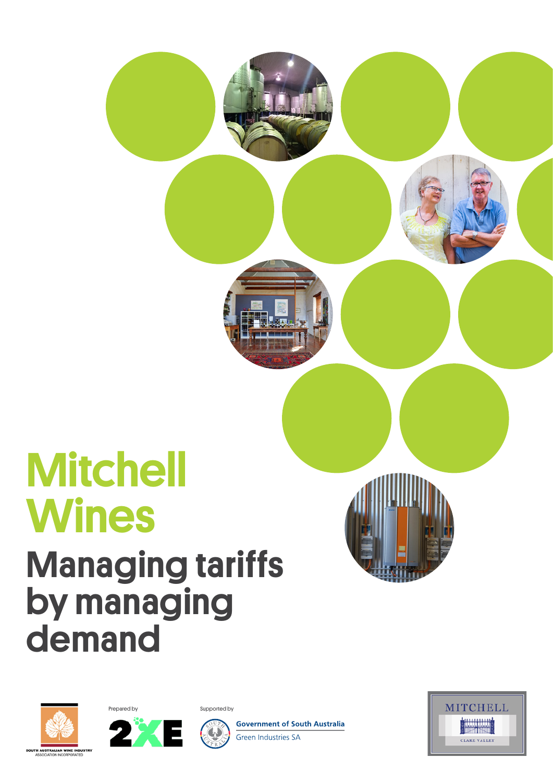# **Mitchell Wines** Managing tariffs by managing demand







**Government of South Australia** Green Industries SA





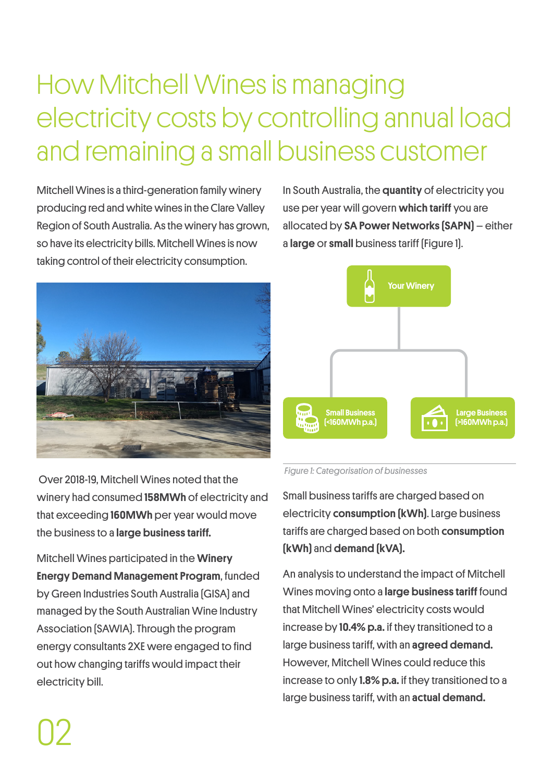# How Mitchell Wines is managing electricity costs by controlling annual load and remaining a small business customer

Mitchell Wines is a third-generation family winery producing red and white wines in the Clare Valley Region of South Australia. As the winery has grown, so have its electricity bills. Mitchell Wines is now taking control of their electricity consumption.

In South Australia, the quantity of electricity you use per year will govern which tariff you are allocated by SA Power Networks (SAPN) – either a large or small business tariff (Figure 1).



 Over 2018-19, Mitchell Wines noted that the winery had consumed 158MWh of electricity and that exceeding 160MWh per year would move the business to a large business tariff.

Mitchell Wines participated in the Winery Energy Demand Management Program, funded by Green Industries South Australia (GISA) and managed by the South Australian Wine Industry Association (SAWIA). Through the program energy consultants 2XE were engaged to find out how changing tariffs would impact their electricity bill.



 *Figure 1: Categorisation of businesses*

Small business tariffs are charged based on electricity consumption (kWh). Large business tariffs are charged based on both consumption (kWh) and demand (kVA).

An analysis to understand the impact of Mitchell Wines moving onto a **large business tariff** found that Mitchell Wines' electricity costs would increase by 10.4% p.a. if they transitioned to a large business tariff, with an agreed demand. However, Mitchell Wines could reduce this increase to only 1.8% p.a. if they transitioned to a large business tariff, with an actual demand.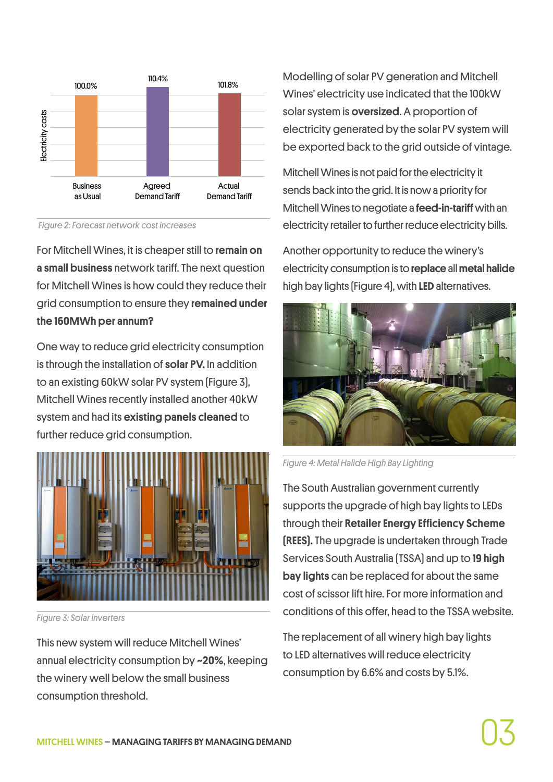

 *Figure 2: Forecast network cost increases*

For Mitchell Wines, it is cheaper still to remain on a small business network tariff. The next question for Mitchell Wines is how could they reduce their grid consumption to ensure they remained under the 160MWh per annum?

One way to reduce grid electricity consumption is through the installation of solar PV. In addition to an existing 60kW solar PV system (Figure 3), Mitchell Wines recently installed another 40kW system and had its existing panels cleaned to further reduce grid consumption.



*Figure 3: Solar inverters*

This new system will reduce Mitchell Wines' annual electricity consumption by ~20%, keeping the winery well below the small business consumption threshold.

Modelling of solar PV generation and Mitchell Wines' electricity use indicated that the 100kW solar system is oversized. A proportion of electricity generated by the solar PV system will be exported back to the grid outside of vintage.

Mitchell Wines is not paid for the electricity it sends back into the grid. It is now a priority for Mitchell Wines to negotiate a feed-in-tariff with an electricity retailer to further reduce electricity bills.

Another opportunity to reduce the winery's electricity consumption is to replace all metal halide high bay lights (Figure 4), with LED alternatives.



*Figure 4: Metal Halide High Bay Lighting*

The South Australian government currently supports the upgrade of high bay lights to LEDs through their Retailer Energy Efficiency Scheme (REES). The upgrade is undertaken through Trade Services South Australia (TSSA) and up to 19 high bay lights can be replaced for about the same cost of scissor lift hire. For more information and conditions of this offer, head to the TSSA website.

The replacement of all winery high bay lights to LED alternatives will reduce electricity consumption by 6.6% and costs by 5.1%.